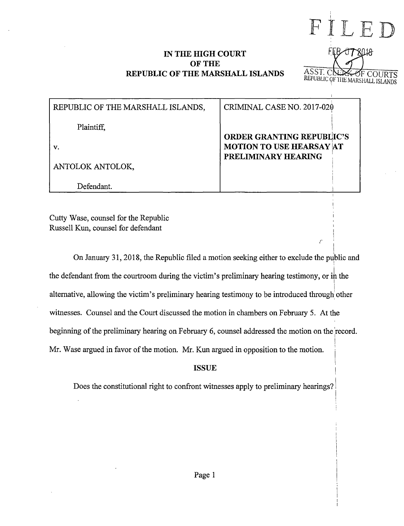## IN THE HIGH COURT OF THE REPUBLIC OF THE MARSHALL ISLANDS



I

| REPUBLIC OF THE MARSHALL ISLANDS, | CRIMINAL CASE NO. 2017-020       |
|-----------------------------------|----------------------------------|
| Plaintiff.                        | <b>ORDER GRANTING REPUBLIC'S</b> |
| v.                                | <b>MOTION TO USE HEARSAY AT</b>  |
| ANTOLOK ANTOLOK,                  | PRELIMINARY HEARING              |
| Defendant.                        |                                  |

Cutty Wase, counsel for the Republic Russell Kun, counsel for defendant

 $\begin{array}{ccc} \uparrow & & \uparrow \\ & & \uparrow \end{array}$ On January 31, 2018, the Republic filed a motion seeking either to exclude the public and ! the defendant from the courtroom during the victim's preliminary hearing testimony, or ih the I alternative, allowing the victim's preliminary hearing testimony to be introduced through other witnesses. Counsel and the Court discussed the motion in chambers on February 5. At the beginning of the preliminary hearing on February 6, counsel addressed the motion on the record. Mr. Wase argued in favor of the motion. Mr. Kun argued in opposition to the motion.

## ISSUE

Does the constitutional right to confront witnesses apply to preliminary hearings? \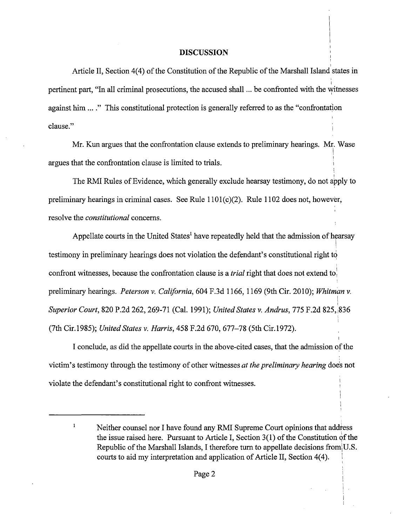## **DISCUSSION**

Article II, Section 4(4) of the Constitution of the Republic of the Marshall Island states in pertinent part, "In all criminal prosecutions, the accused shall ... be confronted with the witnesses against him .... " This constitutional protection is generally referred to as the "confrontation clause."

Mr. Kun argues that the confrontation clause extends to preliminary hearings. Mr. Wase i I argues that the confrontation clause is limited to trials.

The RMI Rules of Evidence, which generally exclude hearsay testimony, do not apply to preliminary hearings in criminal cases. See Rule 1101(c)(2). Rule 1102 does not, however, resolve the *constitutional* concerns.

Appellate courts in the United States<sup>1</sup> have repeatedly held that the admission of hearsay I testimony in preliminary hearings does not violation the defendant's constitutional right *tq*  confront witnesses, because the confrontation clause is a *trial* right that does not extend to: preliminary hearings. *Peterson v. California,* 604 F.3d 1166, 1169 (9th Cir. 2010); *Whitman v.*  $\mathbf i$ I *Superior Court,* 820 P.2d 262, 269-71 (Cal. 1991); *United States v. Andrus,* 775 F.2d 825, 1836 (7th Cir.1985); *United States v. Harris,* 458 F.2d 670, 677-78 (5th Cir.1972).

I conclude, as did the appellate courts in the above-cited cases, that the admission of the victim's testimony through the testimony of other witnesses *at the preliminary hearing* does not violate the defendant's constitutional right to confront witnesses.

 $\mathbf{1}$ Neither counsel nor I have found any RMI Supreme Court opinions that address the issue raised here. Pursuant to Article I, Section  $3(1)$  of the Constitution of the Republic of the Marshall Islands, I therefore turn to appellate decisions from U.S. courts to aid my interpretation and application of Article II, Section 4(4). I